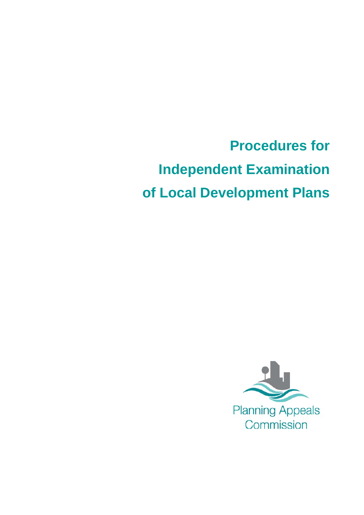**Procedures for Independent Examination of Local Development Plans**

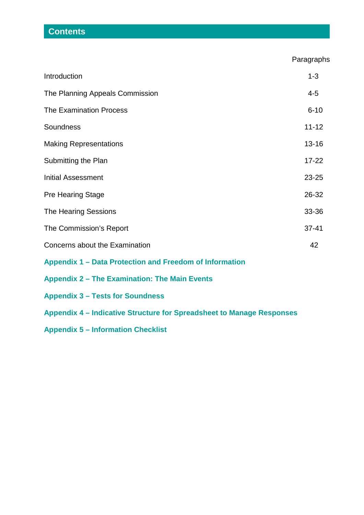# **Contents**

Paragraphs

| Introduction                                                          | $1 - 3$   |
|-----------------------------------------------------------------------|-----------|
| The Planning Appeals Commission                                       | $4 - 5$   |
| <b>The Examination Process</b>                                        | $6 - 10$  |
| Soundness                                                             | $11 - 12$ |
| <b>Making Representations</b>                                         | $13 - 16$ |
| Submitting the Plan                                                   | $17 - 22$ |
| <b>Initial Assessment</b>                                             | $23 - 25$ |
| <b>Pre Hearing Stage</b>                                              | 26-32     |
| <b>The Hearing Sessions</b>                                           | 33-36     |
| The Commission's Report                                               | $37 - 41$ |
| Concerns about the Examination                                        | 42        |
| Appendix 1 – Data Protection and Freedom of Information               |           |
| <b>Appendix 2 - The Examination: The Main Events</b>                  |           |
| <b>Appendix 3 - Tests for Soundness</b>                               |           |
| Appendix 4 – Indicative Structure for Spreadsheet to Manage Responses |           |
| <b>Appendix 5 - Information Checklist</b>                             |           |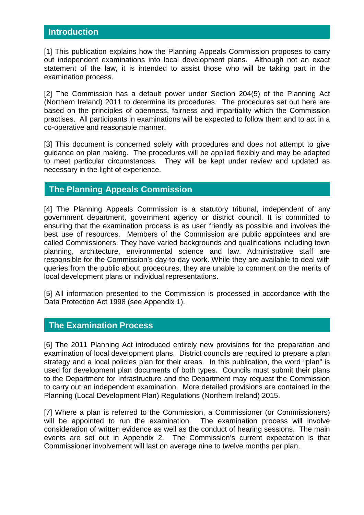## **Introduction**

[1] This publication explains how the Planning Appeals Commission proposes to carry out independent examinations into local development plans. Although not an exact statement of the law, it is intended to assist those who will be taking part in the examination process.

[2] The Commission has a default power under Section 204(5) of the Planning Act (Northern Ireland) 2011 to determine its procedures. The procedures set out here are based on the principles of openness, fairness and impartiality which the Commission practises. All participants in examinations will be expected to follow them and to act in a co-operative and reasonable manner.

[3] This document is concerned solely with procedures and does not attempt to give guidance on plan making. The procedures will be applied flexibly and may be adapted to meet particular circumstances. They will be kept under review and updated as necessary in the light of experience.

## **The Planning Appeals Commission**

[4] The Planning Appeals Commission is a statutory tribunal, independent of any government department, government agency or district council. It is committed to ensuring that the examination process is as user friendly as possible and involves the best use of resources. Members of the Commission are public appointees and are called Commissioners. They have varied backgrounds and qualifications including town planning, architecture, environmental science and law. Administrative staff are responsible for the Commission's day-to-day work. While they are available to deal with queries from the public about procedures, they are unable to comment on the merits of local development plans or individual representations.

[5] All information presented to the Commission is processed in accordance with the Data Protection Act 1998 (see Appendix 1).

## **The Examination Process**

[6] The 2011 Planning Act introduced entirely new provisions for the preparation and examination of local development plans. District councils are required to prepare a plan strategy and a local policies plan for their areas. In this publication, the word "plan" is used for development plan documents of both types. Councils must submit their plans to the Department for Infrastructure and the Department may request the Commission to carry out an independent examination. More detailed provisions are contained in the Planning (Local Development Plan) Regulations (Northern Ireland) 2015.

[7] Where a plan is referred to the Commission, a Commissioner (or Commissioners) will be appointed to run the examination. The examination process will involve consideration of written evidence as well as the conduct of hearing sessions. The main events are set out in Appendix 2. The Commission's current expectation is that Commissioner involvement will last on average nine to twelve months per plan.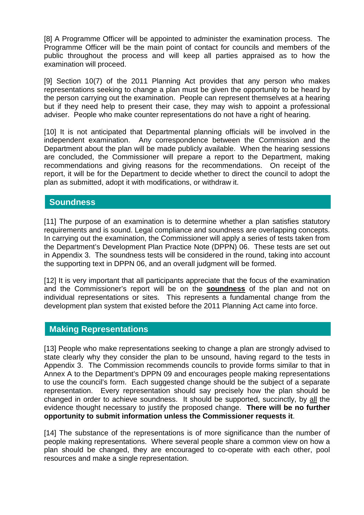[8] A Programme Officer will be appointed to administer the examination process. The Programme Officer will be the main point of contact for councils and members of the public throughout the process and will keep all parties appraised as to how the examination will proceed.

[9] Section 10(7) of the 2011 Planning Act provides that any person who makes representations seeking to change a plan must be given the opportunity to be heard by the person carrying out the examination. People can represent themselves at a hearing but if they need help to present their case, they may wish to appoint a professional adviser. People who make counter representations do not have a right of hearing.

[10] It is not anticipated that Departmental planning officials will be involved in the independent examination. Any correspondence between the Commission and the Department about the plan will be made publicly available. When the hearing sessions are concluded, the Commissioner will prepare a report to the Department, making recommendations and giving reasons for the recommendations. On receipt of the report, it will be for the Department to decide whether to direct the council to adopt the plan as submitted, adopt it with modifications, or withdraw it.

## **Soundness**

[11] The purpose of an examination is to determine whether a plan satisfies statutory requirements and is sound. Legal compliance and soundness are overlapping concepts. In carrying out the examination, the Commissioner will apply a series of tests taken from the Department's Development Plan Practice Note (DPPN) 06. These tests are set out in Appendix 3. The soundness tests will be considered in the round, taking into account the supporting text in DPPN 06, and an overall judgment will be formed.

[12] It is very important that all participants appreciate that the focus of the examination and the Commissioner's report will be on the **soundness** of the plan and not on individual representations or sites. This represents a fundamental change from the development plan system that existed before the 2011 Planning Act came into force.

## **Making Representations**

[13] People who make representations seeking to change a plan are strongly advised to state clearly why they consider the plan to be unsound, having regard to the tests in Appendix 3. The Commission recommends councils to provide forms similar to that in Annex A to the Department's DPPN 09 and encourages people making representations to use the council's form. Each suggested change should be the subject of a separate representation. Every representation should say precisely how the plan should be changed in order to achieve soundness. It should be supported, succinctly, by all the evidence thought necessary to justify the proposed change. **There will be no further opportunity to submit information unless the Commissioner requests it**.

[14] The substance of the representations is of more significance than the number of people making representations. Where several people share a common view on how a plan should be changed, they are encouraged to co-operate with each other, pool resources and make a single representation.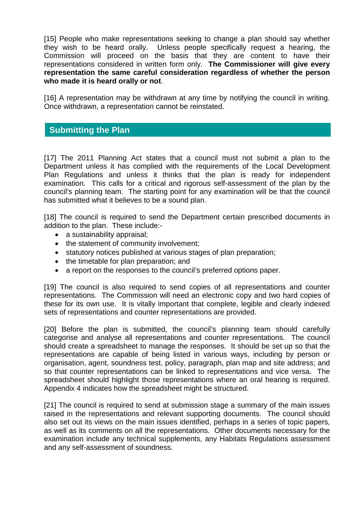[15] People who make representations seeking to change a plan should say whether they wish to be heard orally. Unless people specifically request a hearing, the Commission will proceed on the basis that they are content to have their representations considered in written form only. **The Commissioner will give every representation the same careful consideration regardless of whether the person who made it is heard orally or not**.

[16] A representation may be withdrawn at any time by notifying the council in writing. Once withdrawn, a representation cannot be reinstated.

## **Submitting the Plan**

[17] The 2011 Planning Act states that a council must not submit a plan to the Department unless it has complied with the requirements of the Local Development Plan Regulations and unless it thinks that the plan is ready for independent examination. This calls for a critical and rigorous self-assessment of the plan by the council's planning team. The starting point for any examination will be that the council has submitted what it believes to be a sound plan.

[18] The council is required to send the Department certain prescribed documents in addition to the plan. These include:-

- a sustainability appraisal;
- the statement of community involvement;
- statutory notices published at various stages of plan preparation;
- the timetable for plan preparation; and
- a report on the responses to the council's preferred options paper.

[19] The council is also required to send copies of all representations and counter representations. The Commission will need an electronic copy and two hard copies of these for its own use. It is vitally important that complete, legible and clearly indexed sets of representations and counter representations are provided.

[20] Before the plan is submitted, the council's planning team should carefully categorise and analyse all representations and counter representations. The council should create a spreadsheet to manage the responses. It should be set up so that the representations are capable of being listed in various ways, including by person or organisation, agent, soundness test, policy, paragraph, plan map and site address; and so that counter representations can be linked to representations and vice versa. The spreadsheet should highlight those representations where an oral hearing is required. Appendix 4 indicates how the spreadsheet might be structured.

[21] The council is required to send at submission stage a summary of the main issues raised in the representations and relevant supporting documents. The council should also set out its views on the main issues identified, perhaps in a series of topic papers, as well as its comments on all the representations. Other documents necessary for the examination include any technical supplements, any Habitats Regulations assessment and any self-assessment of soundness.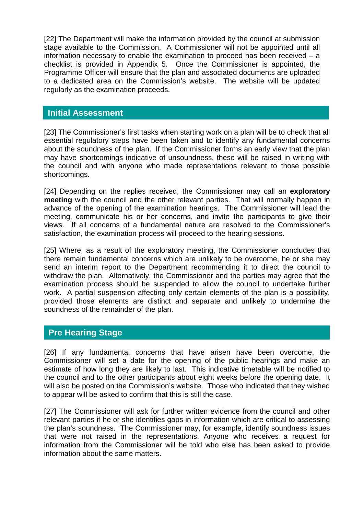[22] The Department will make the information provided by the council at submission stage available to the Commission. A Commissioner will not be appointed until all information necessary to enable the examination to proceed has been received – a checklist is provided in Appendix 5. Once the Commissioner is appointed, the Programme Officer will ensure that the plan and associated documents are uploaded to a dedicated area on the Commission's website. The website will be updated regularly as the examination proceeds.

## **Initial Assessment**

[23] The Commissioner's first tasks when starting work on a plan will be to check that all essential regulatory steps have been taken and to identify any fundamental concerns about the soundness of the plan. If the Commissioner forms an early view that the plan may have shortcomings indicative of unsoundness, these will be raised in writing with the council and with anyone who made representations relevant to those possible shortcomings.

[24] Depending on the replies received, the Commissioner may call an **exploratory meeting** with the council and the other relevant parties. That will normally happen in advance of the opening of the examination hearings. The Commissioner will lead the meeting, communicate his or her concerns, and invite the participants to give their views. If all concerns of a fundamental nature are resolved to the Commissioner's satisfaction, the examination process will proceed to the hearing sessions.

[25] Where, as a result of the exploratory meeting, the Commissioner concludes that there remain fundamental concerns which are unlikely to be overcome, he or she may send an interim report to the Department recommending it to direct the council to withdraw the plan. Alternatively, the Commissioner and the parties may agree that the examination process should be suspended to allow the council to undertake further work. A partial suspension affecting only certain elements of the plan is a possibility, provided those elements are distinct and separate and unlikely to undermine the soundness of the remainder of the plan.

## **Pre Hearing Stage**

[26] If any fundamental concerns that have arisen have been overcome, the Commissioner will set a date for the opening of the public hearings and make an estimate of how long they are likely to last. This indicative timetable will be notified to the council and to the other participants about eight weeks before the opening date. It will also be posted on the Commission's website. Those who indicated that they wished to appear will be asked to confirm that this is still the case.

[27] The Commissioner will ask for further written evidence from the council and other relevant parties if he or she identifies gaps in information which are critical to assessing the plan's soundness. The Commissioner may, for example, identify soundness issues that were not raised in the representations. Anyone who receives a request for information from the Commissioner will be told who else has been asked to provide information about the same matters.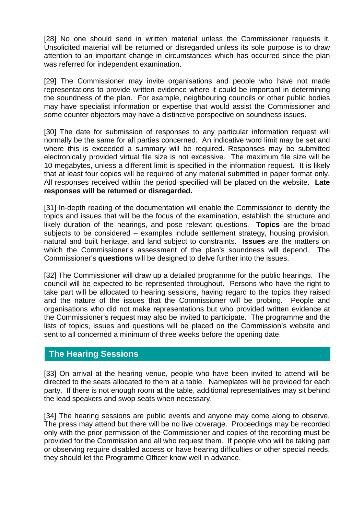[28] No one should send in written material unless the Commissioner requests it. Unsolicited material will be returned or disregarded unless its sole purpose is to draw attention to an important change in circumstances which has occurred since the plan was referred for independent examination.

[29] The Commissioner may invite organisations and people who have not made representations to provide written evidence where it could be important in determining the soundness of the plan. For example, neighbouring councils or other public bodies may have specialist information or expertise that would assist the Commissioner and some counter objectors may have a distinctive perspective on soundness issues.

[30] The date for submission of responses to any particular information request will normally be the same for all parties concerned. An indicative word limit may be set and where this is exceeded a summary will be required. Responses may be submitted electronically provided virtual file size is not excessive. The maximum file size will be 10 megabytes, unless a different limit is specified in the information request. It is likely that at least four copies will be required of any material submitted in paper format only. All responses received within the period specified will be placed on the website. **Late responses will be returned or disregarded.**

[31] In-depth reading of the documentation will enable the Commissioner to identify the topics and issues that will be the focus of the examination, establish the structure and likely duration of the hearings, and pose relevant questions. **Topics** are the broad subjects to be considered – examples include settlement strategy, housing provision, natural and built heritage, and land subject to constraints. **Issues** are the matters on which the Commissioner's assessment of the plan's soundness will depend. The Commissioner's **questions** will be designed to delve further into the issues.

[32] The Commissioner will draw up a detailed programme for the public hearings. The council will be expected to be represented throughout. Persons who have the right to take part will be allocated to hearing sessions, having regard to the topics they raised and the nature of the issues that the Commissioner will be probing. People and organisations who did not make representations but who provided written evidence at the Commissioner's request may also be invited to participate. The programme and the lists of topics, issues and questions will be placed on the Commission's website and sent to all concerned a minimum of three weeks before the opening date.

## **The Hearing Sessions**

[33] On arrival at the hearing venue, people who have been invited to attend will be directed to the seats allocated to them at a table. Nameplates will be provided for each party. If there is not enough room at the table, additional representatives may sit behind the lead speakers and swop seats when necessary.

[34] The hearing sessions are public events and anyone may come along to observe. The press may attend but there will be no live coverage. Proceedings may be recorded only with the prior permission of the Commissioner and copies of the recording must be provided for the Commission and all who request them. If people who will be taking part or observing require disabled access or have hearing difficulties or other special needs, they should let the Programme Officer know well in advance.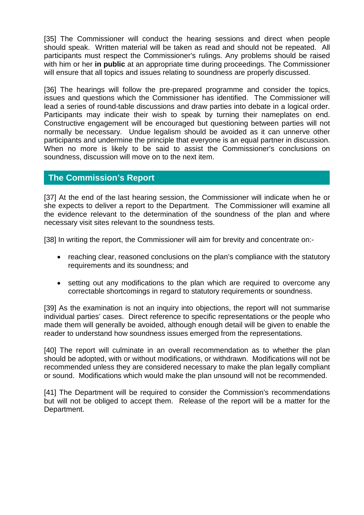[35] The Commissioner will conduct the hearing sessions and direct when people should speak. Written material will be taken as read and should not be repeated. All participants must respect the Commissioner's rulings. Any problems should be raised with him or her **in public** at an appropriate time during proceedings. The Commissioner will ensure that all topics and issues relating to soundness are properly discussed.

[36] The hearings will follow the pre-prepared programme and consider the topics, issues and questions which the Commissioner has identified. The Commissioner will lead a series of round-table discussions and draw parties into debate in a logical order. Participants may indicate their wish to speak by turning their nameplates on end. Constructive engagement will be encouraged but questioning between parties will not normally be necessary. Undue legalism should be avoided as it can unnerve other participants and undermine the principle that everyone is an equal partner in discussion. When no more is likely to be said to assist the Commissioner's conclusions on soundness, discussion will move on to the next item.

## **The Commission's Report**

[37] At the end of the last hearing session, the Commissioner will indicate when he or she expects to deliver a report to the Department. The Commissioner will examine all the evidence relevant to the determination of the soundness of the plan and where necessary visit sites relevant to the soundness tests.

[38] In writing the report, the Commissioner will aim for brevity and concentrate on:-

- reaching clear, reasoned conclusions on the plan's compliance with the statutory requirements and its soundness; and
- setting out any modifications to the plan which are required to overcome any correctable shortcomings in regard to statutory requirements or soundness.

[39] As the examination is not an inquiry into objections, the report will not summarise individual parties' cases. Direct reference to specific representations or the people who made them will generally be avoided, although enough detail will be given to enable the reader to understand how soundness issues emerged from the representations.

[40] The report will culminate in an overall recommendation as to whether the plan should be adopted, with or without modifications, or withdrawn. Modifications will not be recommended unless they are considered necessary to make the plan legally compliant or sound. Modifications which would make the plan unsound will not be recommended.

[41] The Department will be required to consider the Commission's recommendations but will not be obliged to accept them. Release of the report will be a matter for the Department.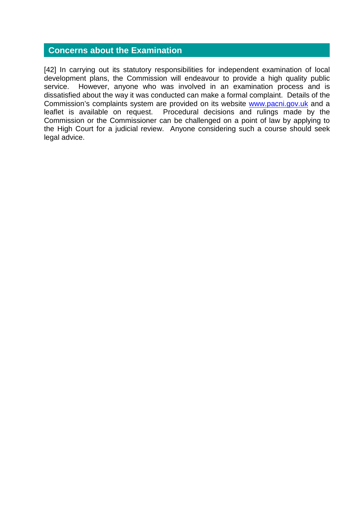## **Concerns about the Examination**

[42] In carrying out its statutory responsibilities for independent examination of local development plans, the Commission will endeavour to provide a high quality public service. However, anyone who was involved in an examination process and is dissatisfied about the way it was conducted can make a formal complaint. Details of the Commission's complaints system are provided on its website [www.pacni.gov.uk](http://www.pacni.gov.uk/) and a leaflet is available on request. Procedural decisions and rulings made by the Commission or the Commissioner can be challenged on a point of law by applying to the High Court for a judicial review. Anyone considering such a course should seek legal advice.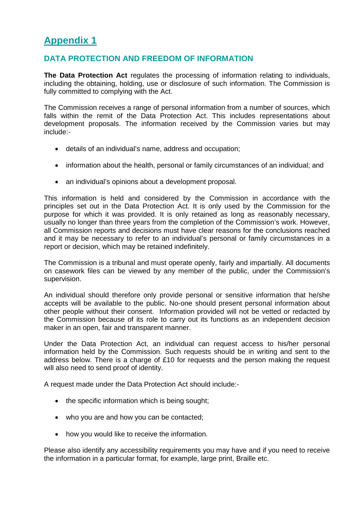## **DATA PROTECTION AND FREEDOM OF INFORMATION**

**The Data Protection Act** regulates the processing of information relating to individuals, including the obtaining, holding, use or disclosure of such information. The Commission is fully committed to complying with the Act.

The Commission receives a range of personal information from a number of sources, which falls within the remit of the Data Protection Act. This includes representations about development proposals. The information received by the Commission varies but may include:-

- details of an individual's name, address and occupation;
- information about the health, personal or family circumstances of an individual; and
- an individual's opinions about a development proposal.

This information is held and considered by the Commission in accordance with the principles set out in the Data Protection Act. It is only used by the Commission for the purpose for which it was provided. It is only retained as long as reasonably necessary, usually no longer than three years from the completion of the Commission's work. However, all Commission reports and decisions must have clear reasons for the conclusions reached and it may be necessary to refer to an individual's personal or family circumstances in a report or decision, which may be retained indefinitely.

The Commission is a tribunal and must operate openly, fairly and impartially. All documents on casework files can be viewed by any member of the public, under the Commission's supervision.

An individual should therefore only provide personal or sensitive information that he/she accepts will be available to the public. No-one should present personal information about other people without their consent. Information provided will not be vetted or redacted by the Commission because of its role to carry out its functions as an independent decision maker in an open, fair and transparent manner.

Under the Data Protection Act, an individual can request access to his/her personal information held by the Commission. Such requests should be in writing and sent to the address below. There is a charge of £10 for requests and the person making the request will also need to send proof of identity.

A request made under the Data Protection Act should include:-

- the specific information which is being sought;
- who you are and how you can be contacted;
- how you would like to receive the information.

Please also identify any accessibility requirements you may have and if you need to receive the information in a particular format, for example, large print, Braille etc.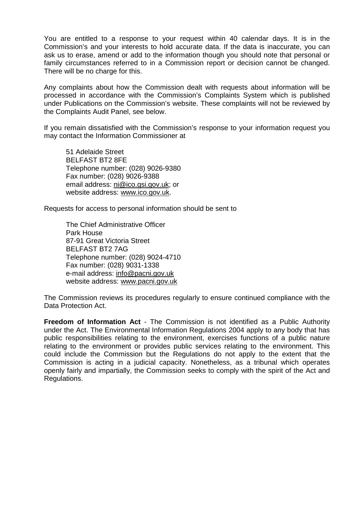You are entitled to a response to your request within 40 calendar days. It is in the Commission's and your interests to hold accurate data. If the data is inaccurate, you can ask us to erase, amend or add to the information though you should note that personal or family circumstances referred to in a Commission report or decision cannot be changed. There will be no charge for this.

Any complaints about how the Commission dealt with requests about information will be processed in accordance with the Commission's Complaints System which is published under Publications on the Commission's website. These complaints will not be reviewed by the Complaints Audit Panel, see below.

If you remain dissatisfied with the Commission's response to your information request you may contact the Information Commissioner at

51 Adelaide Street BELFAST BT2 8FE Telephone number: (028) 9026-9380 Fax number: (028) 9026-9388 email address: ni@ico.gsi.gov.uk; or website address: www.ico.gov.uk.

Requests for access to personal information should be sent to

The Chief Administrative Officer Park House 87-91 Great Victoria Street BELFAST BT2 7AG Telephone number: (028) 9024-4710 Fax number: (028) 9031-1338 e-mail address: info@pacni.gov.uk website address: www.pacni.gov.uk

The Commission reviews its procedures regularly to ensure continued compliance with the Data Protection Act.

**Freedom of Information Act** - The Commission is not identified as a Public Authority under the Act. The Environmental Information Regulations 2004 apply to any body that has public responsibilities relating to the environment, exercises functions of a public nature relating to the environment or provides public services relating to the environment. This could include the Commission but the Regulations do not apply to the extent that the Commission is acting in a judicial capacity. Nonetheless, as a tribunal which operates openly fairly and impartially, the Commission seeks to comply with the spirit of the Act and Regulations.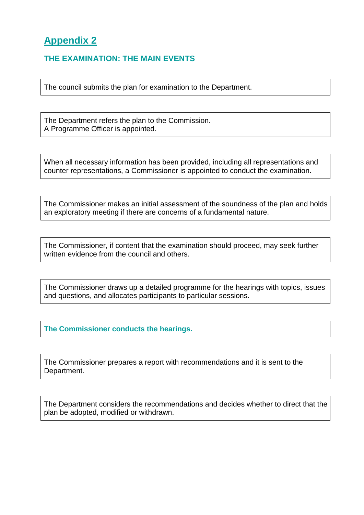## **THE EXAMINATION: THE MAIN EVENTS**

| The council submits the plan for examination to the Department.                                                                                                         |  |  |
|-------------------------------------------------------------------------------------------------------------------------------------------------------------------------|--|--|
|                                                                                                                                                                         |  |  |
| The Department refers the plan to the Commission.<br>A Programme Officer is appointed.                                                                                  |  |  |
|                                                                                                                                                                         |  |  |
| When all necessary information has been provided, including all representations and<br>counter representations, a Commissioner is appointed to conduct the examination. |  |  |
|                                                                                                                                                                         |  |  |
| The Commissioner makes an initial assessment of the soundness of the plan and holds<br>an exploratory meeting if there are concerns of a fundamental nature.            |  |  |
|                                                                                                                                                                         |  |  |
| The Commissioner, if content that the examination should proceed, may seek further<br>written evidence from the council and others.                                     |  |  |
|                                                                                                                                                                         |  |  |
| The Commissioner draws up a detailed programme for the hearings with topics, issues<br>and questions, and allocates participants to particular sessions.                |  |  |
|                                                                                                                                                                         |  |  |
| The Commissioner conducts the hearings.                                                                                                                                 |  |  |
|                                                                                                                                                                         |  |  |
| The Commissioner prepares a report with recommendations and it is sent to the<br>Department.                                                                            |  |  |
|                                                                                                                                                                         |  |  |
| The Department considers the recommendations and decides whether to direct that the<br>plan be adopted, modified or withdrawn.                                          |  |  |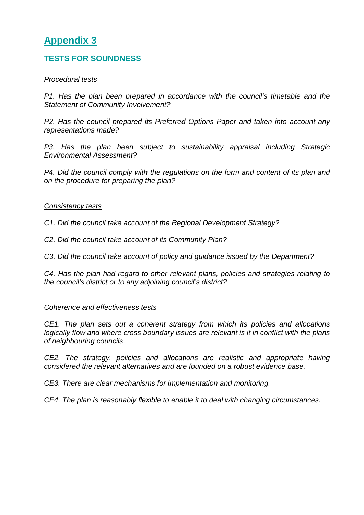## **TESTS FOR SOUNDNESS**

### *Procedural tests*

*P1. Has the plan been prepared in accordance with the council's timetable and the Statement of Community Involvement?*

*P2. Has the council prepared its Preferred Options Paper and taken into account any representations made?*

*P3. Has the plan been subject to sustainability appraisal including Strategic Environmental Assessment?*

*P4. Did the council comply with the regulations on the form and content of its plan and on the procedure for preparing the plan?*

### *Consistency tests*

*C1. Did the council take account of the Regional Development Strategy?*

*C2. Did the council take account of its Community Plan?*

*C3. Did the council take account of policy and guidance issued by the Department?*

*C4. Has the plan had regard to other relevant plans, policies and strategies relating to the council's district or to any adjoining council's district?*

#### *Coherence and effectiveness tests*

*CE1. The plan sets out a coherent strategy from which its policies and allocations logically flow and where cross boundary issues are relevant is it in conflict with the plans of neighbouring councils.*

*CE2. The strategy, policies and allocations are realistic and appropriate having considered the relevant alternatives and are founded on a robust evidence base.*

*CE3. There are clear mechanisms for implementation and monitoring.*

*CE4. The plan is reasonably flexible to enable it to deal with changing circumstances.*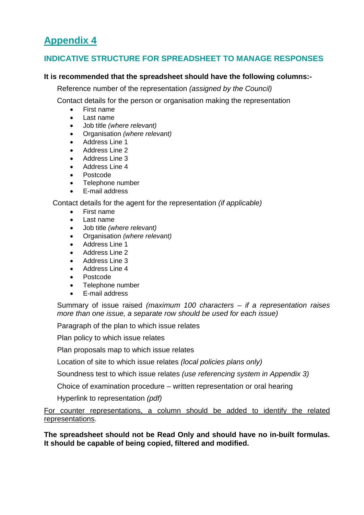## **INDICATIVE STRUCTURE FOR SPREADSHEET TO MANAGE RESPONSES**

### **It is recommended that the spreadsheet should have the following columns:-**

Reference number of the representation *(assigned by the Council)*

Contact details for the person or organisation making the representation

- First name
- Last name
- Job title *(where relevant)*
- Organisation *(where relevant)*
- Address Line 1
- Address Line 2
- Address Line 3
- Address Line 4
- Postcode
- Telephone number
- E-mail address

### Contact details for the agent for the representation *(if applicable)*

- First name
- Last name
- Job title *(where relevant)*
- Organisation *(where relevant)*
- Address Line 1
- Address Line 2
- Address Line 3
- Address Line 4
- Postcode
- Telephone number
- E-mail address

Summary of issue raised *(maximum 100 characters – if a representation raises more than one issue, a separate row should be used for each issue)*

Paragraph of the plan to which issue relates

Plan policy to which issue relates

Plan proposals map to which issue relates

Location of site to which issue relates *(local policies plans only)*

Soundness test to which issue relates *(use referencing system in Appendix 3)*

Choice of examination procedure – written representation or oral hearing

Hyperlink to representation *(pdf)*

For counter representations, a column should be added to identify the related representations.

**The spreadsheet should not be Read Only and should have no in-built formulas. It should be capable of being copied, filtered and modified.**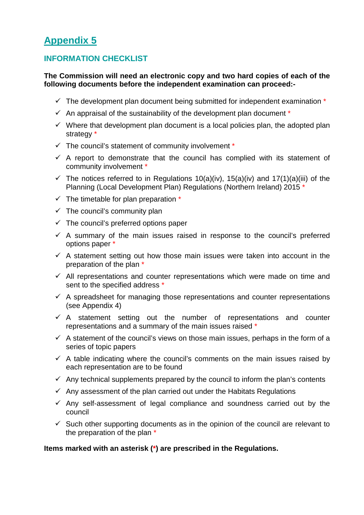## **INFORMATION CHECKLIST**

### **The Commission will need an electronic copy and two hard copies of each of the following documents before the independent examination can proceed:-**

- $\checkmark$  The development plan document being submitted for independent examination  $*$
- $\checkmark$  An appraisal of the sustainability of the development plan document  $*$
- $\checkmark$  Where that development plan document is a local policies plan, the adopted plan strategy \*
- $\checkmark$  The council's statement of community involvement  $*$
- $\checkmark$  A report to demonstrate that the council has complied with its statement of community involvement \*
- $\checkmark$  The notices referred to in Regulations 10(a)(iv), 15(a)(iv) and 17(1)(a)(iii) of the Planning (Local Development Plan) Regulations (Northern Ireland) 2015 \*
- $\checkmark$  The timetable for plan preparation  $*$
- $\checkmark$  The council's community plan
- $\checkmark$  The council's preferred options paper
- $\checkmark$  A summary of the main issues raised in response to the council's preferred options paper \*
- $\checkmark$  A statement setting out how those main issues were taken into account in the preparation of the plan \*
- $\checkmark$  All representations and counter representations which were made on time and sent to the specified address \*
- $\checkmark$  A spreadsheet for managing those representations and counter representations (see Appendix 4)
- $\checkmark$  A statement setting out the number of representations and counter representations and a summary of the main issues raised \*
- $\checkmark$  A statement of the council's views on those main issues, perhaps in the form of a series of topic papers
- $\checkmark$  A table indicating where the council's comments on the main issues raised by each representation are to be found
- $\checkmark$  Any technical supplements prepared by the council to inform the plan's contents
- $\checkmark$  Any assessment of the plan carried out under the Habitats Regulations
- $\checkmark$  Any self-assessment of legal compliance and soundness carried out by the council
- $\checkmark$  Such other supporting documents as in the opinion of the council are relevant to the preparation of the plan \*

### **Items marked with an asterisk (\*) are prescribed in the Regulations.**